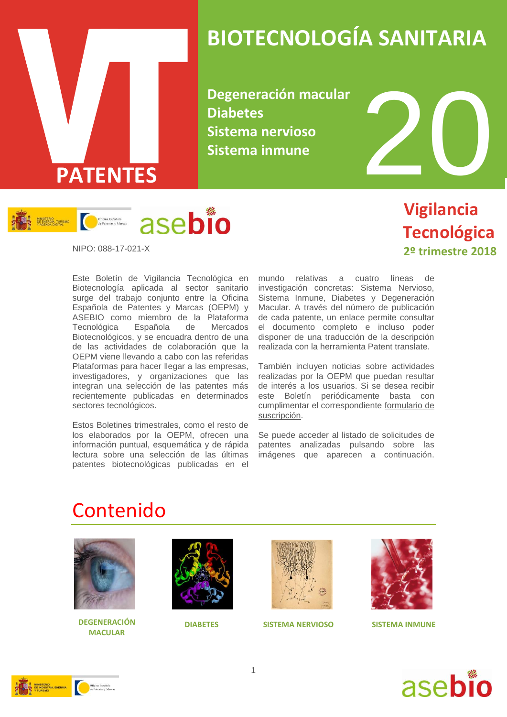

## **BIOTECNOLOGÍA SANITARIA**

**Degeneración macular Diabetes Sistema nervioso Sistema inmune**



 **Vigilancia Tecnológica 2º trimestre 2018**

NIPO: 088-17-021-X

Este Boletín de Vigilancia Tecnológica en Biotecnología aplicada al sector sanitario surge del trabajo conjunto entre la Oficina Española de Patentes y Marcas (OEPM) y ASEBIO como miembro de la Plataforma Tecnológica Española de Mercados Biotecnológicos, y se encuadra dentro de una de las actividades de colaboración que la OEPM viene llevando a cabo con las referidas Plataformas para hacer llegar a las empresas, investigadores, y organizaciones que las integran una selección de las patentes más recientemente publicadas en determinados sectores tecnológicos.

Estos Boletines trimestrales, como el resto de los elaborados por la OEPM, ofrecen una información puntual, esquemática y de rápida lectura sobre una selección de las últimas patentes biotecnológicas publicadas en el

mundo relativas a cuatro líneas de investigación concretas: Sistema Nervioso, Sistema Inmune, Diabetes y Degeneración Macular. A través del número de publicación de cada patente, un enlace permite consultar el documento completo e incluso poder disponer de una traducción de la descripción realizada con la herramienta Patent translate.

También incluyen noticias sobre actividades realizadas por la OEPM que puedan resultar de interés a los usuarios. Si se desea recibir este Boletín periódicamente basta con cumplimentar el correspondiente [formulario de](http://www.oepm.es/es/informacion_tecnologica/informacion_gratuita/boletines_de_vigilancia_tecnologica/formulario.html)  [suscripción.](http://www.oepm.es/es/informacion_tecnologica/informacion_gratuita/boletines_de_vigilancia_tecnologica/formulario.html)

Se puede acceder al listado de solicitudes de patentes analizadas pulsando sobre las imágenes que aparecen a continuación.

### Contenido



**DEGENERACIÓN DIABETES SISTEMA NERVIOSO MACULAR**







**SISTEMA INMUNE**



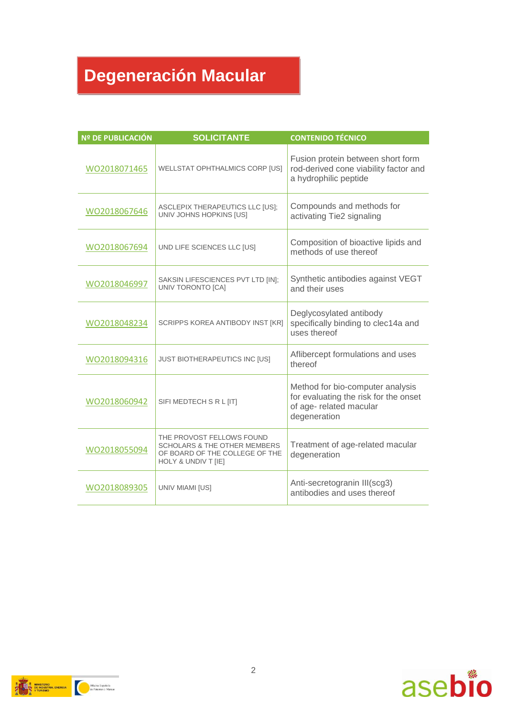### **Degeneración Macular**

| Nº DE PUBLICACIÓN | <b>SOLICITANTE</b>                                                                                                            | <b>CONTENIDO TÉCNICO</b>                                                                                             |
|-------------------|-------------------------------------------------------------------------------------------------------------------------------|----------------------------------------------------------------------------------------------------------------------|
| WO2018071465      | WELLSTAT OPHTHALMICS CORP [US]                                                                                                | Fusion protein between short form<br>rod-derived cone viability factor and<br>a hydrophilic peptide                  |
| WO2018067646      | ASCLEPIX THERAPEUTICS LLC [US];<br>UNIV JOHNS HOPKINS [US]                                                                    | Compounds and methods for<br>activating Tie2 signaling                                                               |
| WO2018067694      | UND LIFE SCIENCES LLC [US]                                                                                                    | Composition of bioactive lipids and<br>methods of use thereof                                                        |
| WO2018046997      | SAKSIN LIFESCIENCES PVT LTD [IN];<br>UNIV TORONTO [CA]                                                                        | Synthetic antibodies against VEGT<br>and their uses                                                                  |
| WO2018048234      | SCRIPPS KOREA ANTIBODY INST [KR]                                                                                              | Deglycosylated antibody<br>specifically binding to clec14a and<br>uses thereof                                       |
| WO2018094316      | JUST BIOTHERAPEUTICS INC [US]                                                                                                 | Aflibercept formulations and uses<br>thereof                                                                         |
| WO2018060942      | SIFI MEDTECH S R L [IT]                                                                                                       | Method for bio-computer analysis<br>for evaluating the risk for the onset<br>of age- related macular<br>degeneration |
| WO2018055094      | THE PROVOST FELLOWS FOUND<br><b>SCHOLARS &amp; THE OTHER MEMBERS</b><br>OF BOARD OF THE COLLEGE OF THE<br>HOLY & UNDIV T [IE] | Treatment of age-related macular<br>degeneration                                                                     |
| WO2018089305      | UNIV MIAMI [US]                                                                                                               | Anti-secretogranin III(scg3)<br>antibodies and uses thereof                                                          |



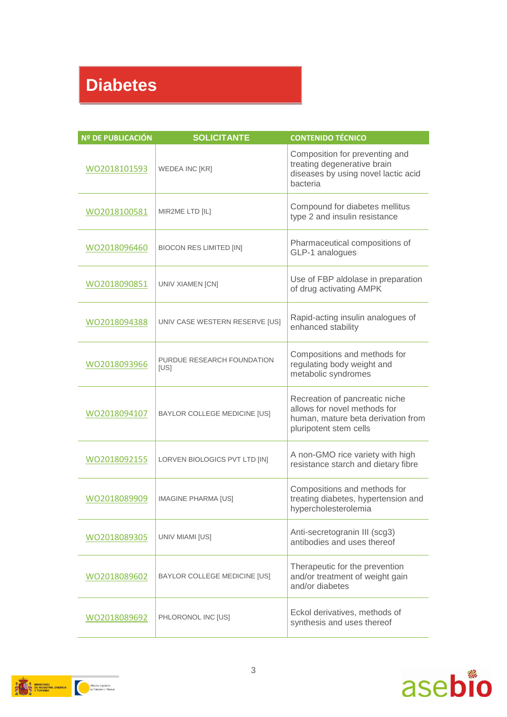### **Diabetes**

| <b>Nº DE PUBLICACIÓN</b> | <b>SOLICITANTE</b>                 | <b>CONTENIDO TÉCNICO</b>                                                                                                       |
|--------------------------|------------------------------------|--------------------------------------------------------------------------------------------------------------------------------|
| WO2018101593             | WEDEA INC [KR]                     | Composition for preventing and<br>treating degenerative brain<br>diseases by using novel lactic acid<br>bacteria               |
| WO2018100581             | MIR2ME LTD [IL]                    | Compound for diabetes mellitus<br>type 2 and insulin resistance                                                                |
| WO2018096460             | <b>BIOCON RES LIMITED [IN]</b>     | Pharmaceutical compositions of<br>GLP-1 analogues                                                                              |
| WO2018090851             | UNIV XIAMEN [CN]                   | Use of FBP aldolase in preparation<br>of drug activating AMPK                                                                  |
| WO2018094388             | UNIV CASE WESTERN RESERVE [US]     | Rapid-acting insulin analogues of<br>enhanced stability                                                                        |
| WO2018093966             | PURDUE RESEARCH FOUNDATION<br>[US] | Compositions and methods for<br>regulating body weight and<br>metabolic syndromes                                              |
| WO2018094107             | BAYLOR COLLEGE MEDICINE [US]       | Recreation of pancreatic niche<br>allows for novel methods for<br>human, mature beta derivation from<br>pluripotent stem cells |
| WO2018092155             | LORVEN BIOLOGICS PVT LTD [IN]      | A non-GMO rice variety with high<br>resistance starch and dietary fibre                                                        |
| WO2018089909             | <b>IMAGINE PHARMA [US]</b>         | Compositions and methods for<br>treating diabetes, hypertension and<br>hypercholesterolemia                                    |
| WO2018089305             | UNIV MIAMI [US]                    | Anti-secretogranin III (scg3)<br>antibodies and uses thereof                                                                   |
| WO2018089602             | BAYLOR COLLEGE MEDICINE [US]       | Therapeutic for the prevention<br>and/or treatment of weight gain<br>and/or diabetes                                           |
| WO2018089692             | PHLORONOL INC [US]                 | Eckol derivatives, methods of<br>synthesis and uses thereof                                                                    |



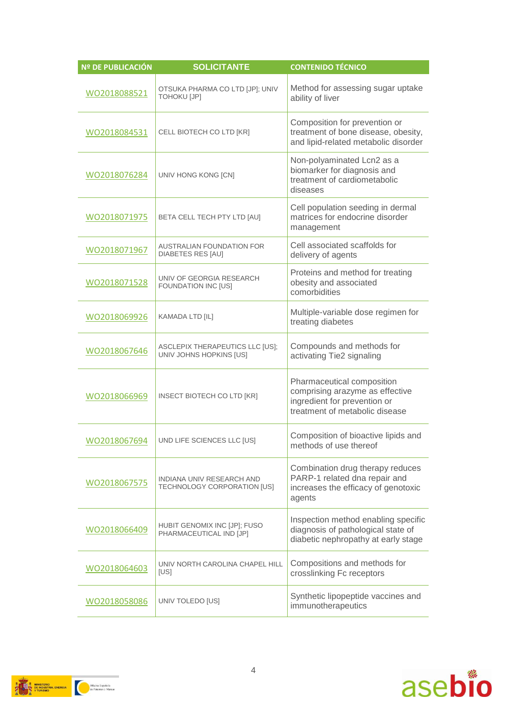| Nº DE PUBLICACIÓN | <b>SOLICITANTE</b>                                              | <b>CONTENIDO TÉCNICO</b>                                                                                                        |
|-------------------|-----------------------------------------------------------------|---------------------------------------------------------------------------------------------------------------------------------|
| WO2018088521      | OTSUKA PHARMA CO LTD [JP]; UNIV<br><b>TOHOKU [JP]</b>           | Method for assessing sugar uptake<br>ability of liver                                                                           |
| WO2018084531      | CELL BIOTECH CO LTD [KR]                                        | Composition for prevention or<br>treatment of bone disease, obesity,<br>and lipid-related metabolic disorder                    |
| WO2018076284      | UNIV HONG KONG [CN]                                             | Non-polyaminated Lcn2 as a<br>biomarker for diagnosis and<br>treatment of cardiometabolic<br>diseases                           |
| WO2018071975      | BETA CELL TECH PTY LTD [AU]                                     | Cell population seeding in dermal<br>matrices for endocrine disorder<br>management                                              |
| WO2018071967      | <b>AUSTRALIAN FOUNDATION FOR</b><br><b>DIABETES RES [AU]</b>    | Cell associated scaffolds for<br>delivery of agents                                                                             |
| WO2018071528      | UNIV OF GEORGIA RESEARCH<br>FOUNDATION INC [US]                 | Proteins and method for treating<br>obesity and associated<br>comorbidities                                                     |
| WO2018069926      | KAMADA LTD [IL]                                                 | Multiple-variable dose regimen for<br>treating diabetes                                                                         |
| WO2018067646      | ASCLEPIX THERAPEUTICS LLC [US];<br>UNIV JOHNS HOPKINS [US]      | Compounds and methods for<br>activating Tie2 signaling                                                                          |
| WO2018066969      | INSECT BIOTECH CO LTD [KR]                                      | Pharmaceutical composition<br>comprising arazyme as effective<br>ingredient for prevention or<br>treatment of metabolic disease |
| WO2018067694      | UND LIFE SCIENCES LLC IUSI                                      | Composition of bioactive lipids and<br>methods of use thereof                                                                   |
| WO2018067575      | <b>INDIANA UNIV RESEARCH AND</b><br>TECHNOLOGY CORPORATION [US] | Combination drug therapy reduces<br>PARP-1 related dna repair and<br>increases the efficacy of genotoxic<br>agents              |
| WO2018066409      | HUBIT GENOMIX INC [JP]; FUSO<br>PHARMACEUTICAL IND [JP]         | Inspection method enabling specific<br>diagnosis of pathological state of<br>diabetic nephropathy at early stage                |
| WO2018064603      | UNIV NORTH CAROLINA CHAPEL HILL<br>[US]                         | Compositions and methods for<br>crosslinking Fc receptors                                                                       |
| WO2018058086      | UNIV TOLEDO [US]                                                | Synthetic lipopeptide vaccines and<br>immunotherapeutics                                                                        |



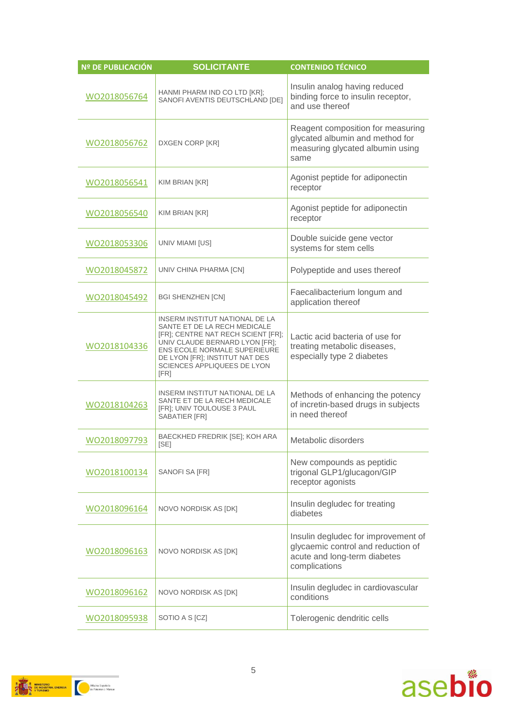| Nº DE PUBLICACIÓN | <b>SOLICITANTE</b>                                                                                                                                                                                                                              | <b>CONTENIDO TÉCNICO</b>                                                                                                   |
|-------------------|-------------------------------------------------------------------------------------------------------------------------------------------------------------------------------------------------------------------------------------------------|----------------------------------------------------------------------------------------------------------------------------|
| WO2018056764      | HANMI PHARM IND CO LTD [KR];<br>SANOFI AVENTIS DEUTSCHLAND [DE]                                                                                                                                                                                 | Insulin analog having reduced<br>binding force to insulin receptor,<br>and use thereof                                     |
| WO2018056762      | <b>DXGEN CORP [KR]</b>                                                                                                                                                                                                                          | Reagent composition for measuring<br>glycated albumin and method for<br>measuring glycated albumin using<br>same           |
| WO2018056541      | KIM BRIAN [KR]                                                                                                                                                                                                                                  | Agonist peptide for adiponectin<br>receptor                                                                                |
| WO2018056540      | KIM BRIAN [KR]                                                                                                                                                                                                                                  | Agonist peptide for adiponectin<br>receptor                                                                                |
| WO2018053306      | UNIV MIAMI [US]                                                                                                                                                                                                                                 | Double suicide gene vector<br>systems for stem cells                                                                       |
| WO2018045872      | UNIV CHINA PHARMA [CN]                                                                                                                                                                                                                          | Polypeptide and uses thereof                                                                                               |
| WO2018045492      | <b>BGI SHENZHEN [CN]</b>                                                                                                                                                                                                                        | Faecalibacterium longum and<br>application thereof                                                                         |
| WO2018104336      | INSERM INSTITUT NATIONAL DE LA<br>SANTE ET DE LA RECH MEDICALE<br>[FR]; CENTRE NAT RECH SCIENT [FR];<br>UNIV CLAUDE BERNARD LYON [FR];<br>ENS ECOLE NORMALE SUPERIEURE<br>DE LYON [FR]; INSTITUT NAT DES<br>SCIENCES APPLIQUEES DE LYON<br>[FR] | Lactic acid bacteria of use for<br>treating metabolic diseases,<br>especially type 2 diabetes                              |
| WO2018104263      | INSERM INSTITUT NATIONAL DE LA<br>SANTE ET DE LA RECH MEDICALE<br>[FR]; UNIV TOULOUSE 3 PAUL<br>SABATIER [FR]                                                                                                                                   | Methods of enhancing the potency<br>of incretin-based drugs in subjects<br>in need thereof                                 |
| WO2018097793      | BAECKHED FREDRIK [SE]; KOH ARA<br>[SE]                                                                                                                                                                                                          | Metabolic disorders                                                                                                        |
| WO2018100134      | SANOFI SA [FR]                                                                                                                                                                                                                                  | New compounds as peptidic<br>trigonal GLP1/glucagon/GIP<br>receptor agonists                                               |
| WO2018096164      | NOVO NORDISK AS [DK]                                                                                                                                                                                                                            | Insulin degludec for treating<br>diabetes                                                                                  |
| WO2018096163      | NOVO NORDISK AS [DK]                                                                                                                                                                                                                            | Insulin degludec for improvement of<br>glycaemic control and reduction of<br>acute and long-term diabetes<br>complications |
| WO2018096162      | NOVO NORDISK AS [DK]                                                                                                                                                                                                                            | Insulin degludec in cardiovascular<br>conditions                                                                           |
| WO2018095938      | SOTIO A S [CZ]                                                                                                                                                                                                                                  | Tolerogenic dendritic cells                                                                                                |



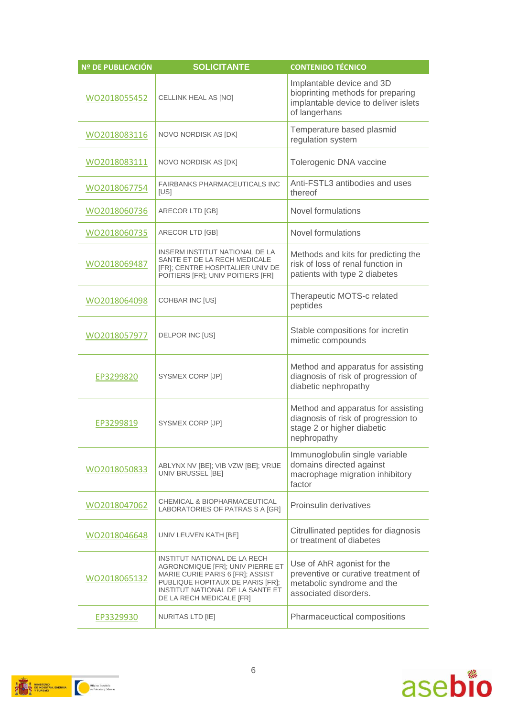| Nº DE PUBLICACIÓN | <b>SOLICITANTE</b>                                                                                                                                                                                       | <b>CONTENIDO TÉCNICO</b>                                                                                                 |
|-------------------|----------------------------------------------------------------------------------------------------------------------------------------------------------------------------------------------------------|--------------------------------------------------------------------------------------------------------------------------|
| WO2018055452      | CELLINK HEAL AS [NO]                                                                                                                                                                                     | Implantable device and 3D<br>bioprinting methods for preparing<br>implantable device to deliver islets<br>of langerhans  |
| WO2018083116      | NOVO NORDISK AS [DK]                                                                                                                                                                                     | Temperature based plasmid<br>regulation system                                                                           |
| WO2018083111      | NOVO NORDISK AS [DK]                                                                                                                                                                                     | Tolerogenic DNA vaccine                                                                                                  |
| WO2018067754      | <b>FAIRBANKS PHARMACEUTICALS INC</b><br>[US]                                                                                                                                                             | Anti-FSTL3 antibodies and uses<br>thereof                                                                                |
| WO2018060736      | ARECOR LTD [GB]                                                                                                                                                                                          | Novel formulations                                                                                                       |
| WO2018060735      | ARECOR LTD [GB]                                                                                                                                                                                          | Novel formulations                                                                                                       |
| WO2018069487      | INSERM INSTITUT NATIONAL DE LA<br>SANTE ET DE LA RECH MEDICALE<br>[FR]; CENTRE HOSPITALIER UNIV DE<br>POITIERS [FR]; UNIV POITIERS [FR]                                                                  | Methods and kits for predicting the<br>risk of loss of renal function in<br>patients with type 2 diabetes                |
| WO2018064098      | COHBAR INC [US]                                                                                                                                                                                          | Therapeutic MOTS-c related<br>peptides                                                                                   |
| WO2018057977      | DELPOR INC [US]                                                                                                                                                                                          | Stable compositions for incretin<br>mimetic compounds                                                                    |
| EP3299820         | SYSMEX CORP [JP]                                                                                                                                                                                         | Method and apparatus for assisting<br>diagnosis of risk of progression of<br>diabetic nephropathy                        |
| EP3299819         | SYSMEX CORP [JP]                                                                                                                                                                                         | Method and apparatus for assisting<br>diagnosis of risk of progression to<br>stage 2 or higher diabetic<br>nephropathy   |
| WO2018050833      | ABLYNX NV [BE]; VIB VZW [BE]; VRIJE<br>UNIV BRUSSEL [BE]                                                                                                                                                 | Immunoglobulin single variable<br>domains directed against<br>macrophage migration inhibitory<br>factor                  |
| WO2018047062      | CHEMICAL & BIOPHARMACEUTICAL<br>LABORATORIES OF PATRAS S A [GR]                                                                                                                                          | Proinsulin derivatives                                                                                                   |
| WO2018046648      | UNIV LEUVEN KATH [BE]                                                                                                                                                                                    | Citrullinated peptides for diagnosis<br>or treatment of diabetes                                                         |
| WO2018065132      | INSTITUT NATIONAL DE LA RECH<br>AGRONOMIQUE [FR]; UNIV PIERRE ET<br>MARIE CURIE PARIS 6 [FR]; ASSIST<br>PUBLIQUE HOPITAUX DE PARIS [FR];<br>INSTITUT NATIONAL DE LA SANTE ET<br>DE LA RECH MEDICALE [FR] | Use of AhR agonist for the<br>preventive or curative treatment of<br>metabolic syndrome and the<br>associated disorders. |
| EP3329930         | <b>NURITAS LTD [IE]</b>                                                                                                                                                                                  | Pharmaceuctical compositions                                                                                             |



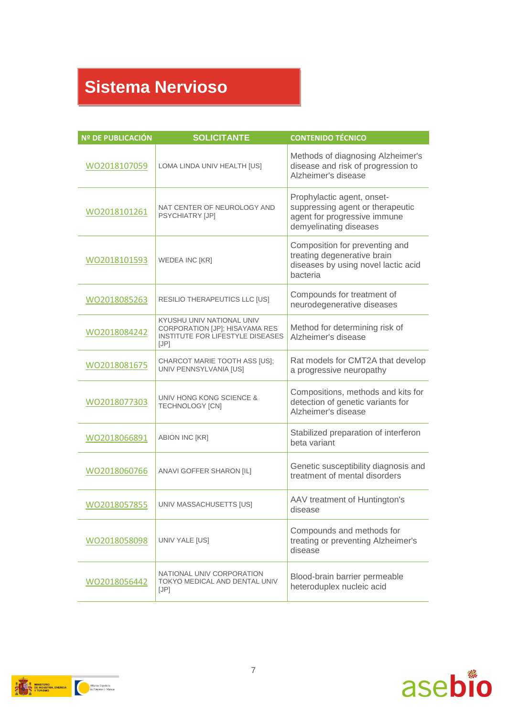### **Sistema Nervioso**

| Nº DE PUBLICACIÓN | <b>SOLICITANTE</b>                                                                                             | <b>CONTENIDO TÉCNICO</b>                                                                                                 |
|-------------------|----------------------------------------------------------------------------------------------------------------|--------------------------------------------------------------------------------------------------------------------------|
| WO2018107059      | LOMA LINDA UNIV HEALTH [US]                                                                                    | Methods of diagnosing Alzheimer's<br>disease and risk of progression to<br>Alzheimer's disease                           |
| WO2018101261      | NAT CENTER OF NEUROLOGY AND<br><b>PSYCHIATRY [JP]</b>                                                          | Prophylactic agent, onset-<br>suppressing agent or therapeutic<br>agent for progressive immune<br>demyelinating diseases |
| WO2018101593      | WEDEA INC [KR]                                                                                                 | Composition for preventing and<br>treating degenerative brain<br>diseases by using novel lactic acid<br>bacteria         |
| WO2018085263      | RESILIO THERAPEUTICS LLC [US]                                                                                  | Compounds for treatment of<br>neurodegenerative diseases                                                                 |
| WO2018084242      | KYUSHU UNIV NATIONAL UNIV<br>CORPORATION [JP]; HISAYAMA RES<br><b>INSTITUTE FOR LIFESTYLE DISEASES</b><br>[JP] | Method for determining risk of<br>Alzheimer's disease                                                                    |
| WO2018081675      | CHARCOT MARIE TOOTH ASS [US];<br>UNIV PENNSYLVANIA [US]                                                        | Rat models for CMT2A that develop<br>a progressive neuropathy                                                            |
| WO2018077303      | UNIV HONG KONG SCIENCE &<br><b>TECHNOLOGY [CN]</b>                                                             | Compositions, methods and kits for<br>detection of genetic variants for<br>Alzheimer's disease                           |
| WO2018066891      | ABION INC [KR]                                                                                                 | Stabilized preparation of interferon<br>beta variant                                                                     |
| WO2018060766      | ANAVI GOFFER SHARON [IL]                                                                                       | Genetic susceptibility diagnosis and<br>treatment of mental disorders                                                    |
| WO2018057855      | UNIV MASSACHUSETTS [US]                                                                                        | AAV treatment of Huntington's<br>disease                                                                                 |
| WO2018058098      | UNIV YALE [US]                                                                                                 | Compounds and methods for<br>treating or preventing Alzheimer's<br>disease                                               |
| WO2018056442      | NATIONAL UNIV CORPORATION<br>TOKYO MEDICAL AND DENTAL UNIV<br>[JP]                                             | Blood-brain barrier permeable<br>heteroduplex nucleic acid                                                               |

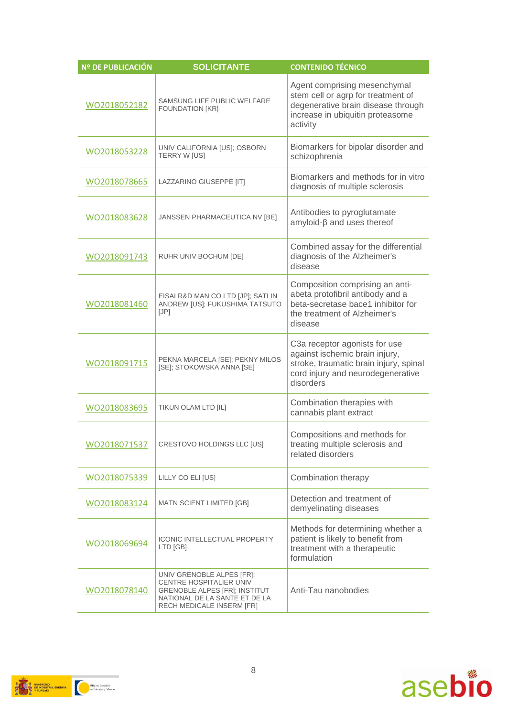| <b>Nº DE PUBLICACIÓN</b> | <b>SOLICITANTE</b>                                                                                                                                         | <b>CONTENIDO TÉCNICO</b>                                                                                                                                    |
|--------------------------|------------------------------------------------------------------------------------------------------------------------------------------------------------|-------------------------------------------------------------------------------------------------------------------------------------------------------------|
| WO2018052182             | SAMSUNG LIFE PUBLIC WELFARE<br><b>FOUNDATION [KR]</b>                                                                                                      | Agent comprising mesenchymal<br>stem cell or agrp for treatment of<br>degenerative brain disease through<br>increase in ubiquitin proteasome<br>activity    |
| WO2018053228             | UNIV CALIFORNIA [US]; OSBORN<br>TERRY W [US]                                                                                                               | Biomarkers for bipolar disorder and<br>schizophrenia                                                                                                        |
| WO2018078665             | LAZZARINO GIUSEPPE [IT]                                                                                                                                    | Biomarkers and methods for in vitro<br>diagnosis of multiple sclerosis                                                                                      |
| WO2018083628             | JANSSEN PHARMACEUTICA NV [BE]                                                                                                                              | Antibodies to pyroglutamate<br>$amyloid-\beta and uses thereof$                                                                                             |
| WO2018091743             | RUHR UNIV BOCHUM [DE]                                                                                                                                      | Combined assay for the differential<br>diagnosis of the Alzheimer's<br>disease                                                                              |
| WO2018081460             | EISAI R&D MAN CO LTD [JP]; SATLIN<br>ANDREW [US]; FUKUSHIMA TATSUTO<br>[JP]                                                                                | Composition comprising an anti-<br>abeta protofibril antibody and a<br>beta-secretase bace1 inhibitor for<br>the treatment of Alzheimer's<br>disease        |
| WO2018091715             | PEKNA MARCELA [SE]; PEKNY MILOS<br>[SE]; STOKOWSKA ANNA [SE]                                                                                               | C3a receptor agonists for use<br>against ischemic brain injury,<br>stroke, traumatic brain injury, spinal<br>cord injury and neurodegenerative<br>disorders |
| WO2018083695             | TIKUN OLAM LTD [IL]                                                                                                                                        | Combination therapies with<br>cannabis plant extract                                                                                                        |
| WO2018071537             | CRESTOVO HOLDINGS LLC [US]                                                                                                                                 | Compositions and methods for<br>treating multiple sclerosis and<br>related disorders                                                                        |
| WO2018075339             | LILLY CO ELI [US]                                                                                                                                          | Combination therapy                                                                                                                                         |
| WO2018083124             | MATN SCIENT LIMITED [GB]                                                                                                                                   | Detection and treatment of<br>demyelinating diseases                                                                                                        |
| WO2018069694             | <b>ICONIC INTELLECTUAL PROPERTY</b><br>LTD [GB]                                                                                                            | Methods for determining whether a<br>patient is likely to benefit from<br>treatment with a therapeutic<br>formulation                                       |
| WO2018078140             | UNIV GRENOBLE ALPES [FR];<br>CENTRE HOSPITALIER UNIV<br><b>GRENOBLE ALPES [FR]; INSTITUT</b><br>NATIONAL DE LA SANTE ET DE LA<br>RECH MEDICALE INSERM [FR] | Anti-Tau nanobodies                                                                                                                                         |

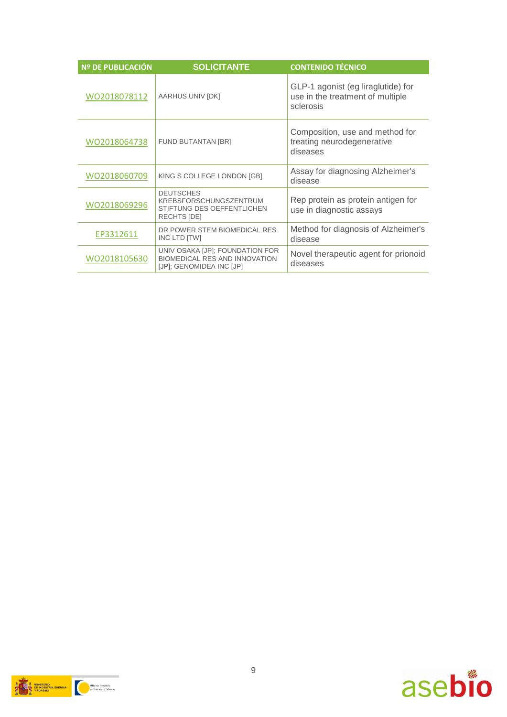| <b>Nº DE PUBLICACIÓN</b> | <b>SOLICITANTE</b>                                                                                    | <b>CONTENIDO TÉCNICO</b>                                                            |
|--------------------------|-------------------------------------------------------------------------------------------------------|-------------------------------------------------------------------------------------|
| WO2018078112             | AARHUS UNIV [DK]                                                                                      | GLP-1 agonist (eg liraglutide) for<br>use in the treatment of multiple<br>sclerosis |
| WO2018064738             | <b>FUND BUTANTAN [BR]</b>                                                                             | Composition, use and method for<br>treating neurodegenerative<br>diseases           |
| WO2018060709             | KING S COLLEGE LONDON [GB]                                                                            | Assay for diagnosing Alzheimer's<br>disease                                         |
| WO2018069296             | <b>DEUTSCHES</b><br><b>KREBSFORSCHUNGSZENTRUM</b><br>STIFTUNG DES OEFFENTLICHEN<br><b>RECHTS [DE]</b> | Rep protein as protein antigen for<br>use in diagnostic assays                      |
| EP3312611                | DR POWER STEM BIOMEDICAL RES<br>INC LTD [TW]                                                          | Method for diagnosis of Alzheimer's<br>disease                                      |
| WO2018105630             | UNIV OSAKA [JP]; FOUNDATION FOR<br><b>BIOMEDICAL RES AND INNOVATION</b><br>[JP]; GENOMIDEA INC [JP]   | Novel therapeutic agent for prionoid<br>diseases                                    |



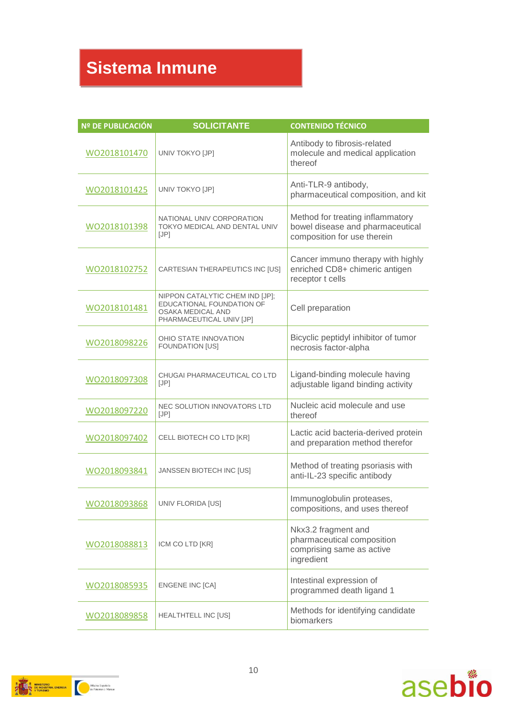### **Sistema Inmune**

| Nº DE PUBLICACIÓN | <b>SOLICITANTE</b>                                                                                                   | <b>CONTENIDO TÉCNICO</b>                                                                            |
|-------------------|----------------------------------------------------------------------------------------------------------------------|-----------------------------------------------------------------------------------------------------|
| WO2018101470      | UNIV TOKYO [JP]                                                                                                      | Antibody to fibrosis-related<br>molecule and medical application<br>thereof                         |
| WO2018101425      | UNIV TOKYO [JP]                                                                                                      | Anti-TLR-9 antibody,<br>pharmaceutical composition, and kit                                         |
| WO2018101398      | NATIONAL UNIV CORPORATION<br>TOKYO MEDICAL AND DENTAL UNIV<br>[JP]                                                   | Method for treating inflammatory<br>bowel disease and pharmaceutical<br>composition for use therein |
| WO2018102752      | CARTESIAN THERAPEUTICS INC [US]                                                                                      | Cancer immuno therapy with highly<br>enriched CD8+ chimeric antigen<br>receptor t cells             |
| WO2018101481      | NIPPON CATALYTIC CHEM IND [JP];<br>EDUCATIONAL FOUNDATION OF<br><b>OSAKA MEDICAL AND</b><br>PHARMACEUTICAL UNIV [JP] | Cell preparation                                                                                    |
| WO2018098226      | OHIO STATE INNOVATION<br><b>FOUNDATION [US]</b>                                                                      | Bicyclic peptidyl inhibitor of tumor<br>necrosis factor-alpha                                       |
| WO2018097308      | CHUGAI PHARMACEUTICAL CO LTD<br>[JP]                                                                                 | Ligand-binding molecule having<br>adjustable ligand binding activity                                |
| WO2018097220      | NEC SOLUTION INNOVATORS LTD<br>[JP]                                                                                  | Nucleic acid molecule and use<br>thereof                                                            |
| WO2018097402      | CELL BIOTECH CO LTD [KR]                                                                                             | Lactic acid bacteria-derived protein<br>and preparation method therefor                             |
| WO2018093841      | JANSSEN BIOTECH INC [US]                                                                                             | Method of treating psoriasis with<br>anti-IL-23 specific antibody                                   |
| WO2018093868      | UNIV FLORIDA [US]                                                                                                    | Immunoglobulin proteases<br>compositions, and uses thereof                                          |
| WO2018088813      | ICM CO LTD [KR]                                                                                                      | Nkx3.2 fragment and<br>pharmaceutical composition<br>comprising same as active<br>ingredient        |
| WO2018085935      | ENGENE INC [CA]                                                                                                      | Intestinal expression of<br>programmed death ligand 1                                               |
| WO2018089858      | HEALTHTELL INC [US]                                                                                                  | Methods for identifying candidate<br>biomarkers                                                     |

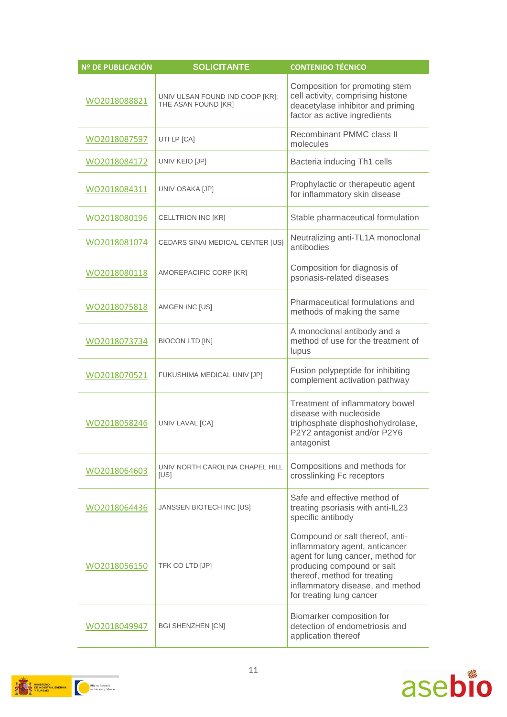| Nº DE PUBLICACIÓN | <b>SOLICITANTE</b>                                     | <b>CONTENIDO TÉCNICO</b>                                                                                                                                                                                                             |
|-------------------|--------------------------------------------------------|--------------------------------------------------------------------------------------------------------------------------------------------------------------------------------------------------------------------------------------|
| WO2018088821      | UNIV ULSAN FOUND IND COOP [KR];<br>THE ASAN FOUND [KR] | Composition for promoting stem<br>cell activity, comprising histone<br>deacetylase inhibitor and priming<br>factor as active ingredients                                                                                             |
| WO2018087597      | UTI LP [CA]                                            | Recombinant PMMC class II<br>molecules                                                                                                                                                                                               |
| WO2018084172      | UNIV KEIO [JP]                                         | Bacteria inducing Th1 cells                                                                                                                                                                                                          |
| WO2018084311      | UNIV OSAKA [JP]                                        | Prophylactic or therapeutic agent<br>for inflammatory skin disease                                                                                                                                                                   |
| WO2018080196      | <b>CELLTRION INC [KR]</b>                              | Stable pharmaceutical formulation                                                                                                                                                                                                    |
| WO2018081074      | CEDARS SINAI MEDICAL CENTER [US]                       | Neutralizing anti-TL1A monoclonal<br>antibodies                                                                                                                                                                                      |
| WO2018080118      | AMOREPACIFIC CORP [KR]                                 | Composition for diagnosis of<br>psoriasis-related diseases                                                                                                                                                                           |
| WO2018075818      | AMGEN INC [US]                                         | Pharmaceutical formulations and<br>methods of making the same                                                                                                                                                                        |
| WO2018073734      | <b>BIOCON LTD [IN]</b>                                 | A monoclonal antibody and a<br>method of use for the treatment of<br>lupus                                                                                                                                                           |
| WO2018070521      | FUKUSHIMA MEDICAL UNIV [JP]                            | Fusion polypeptide for inhibiting<br>complement activation pathway                                                                                                                                                                   |
| WO2018058246      | UNIV LAVAL [CA]                                        | Treatment of inflammatory bowel<br>disease with nucleoside<br>triphosphate disphoshohydrolase,<br>P2Y2 antagonist and/or P2Y6<br>antagonist                                                                                          |
| WO2018064603      | UNIV NORTH CAROLINA CHAPEL HILL<br>[US]                | Compositions and methods for<br>crosslinking Fc receptors                                                                                                                                                                            |
| WO2018064436      | JANSSEN BIOTECH INC [US]                               | Safe and effective method of<br>treating psoriasis with anti-IL23<br>specific antibody                                                                                                                                               |
| WO2018056150      | TFK CO LTD [JP]                                        | Compound or salt thereof, anti-<br>inflammatory agent, anticancer<br>agent for lung cancer, method for<br>producing compound or salt<br>thereof, method for treating<br>inflammatory disease, and method<br>for treating lung cancer |
| WO2018049947      | <b>BGI SHENZHEN [CN]</b>                               | Biomarker composition for<br>detection of endometriosis and<br>application thereof                                                                                                                                                   |



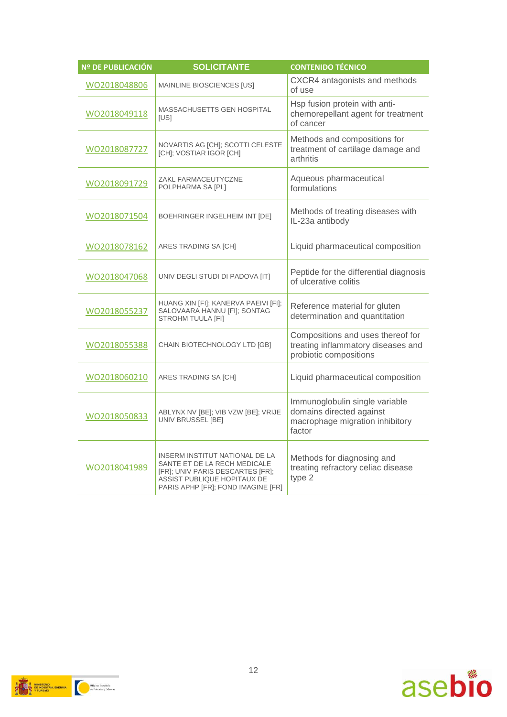| Nº DE PUBLICACIÓN | <b>SOLICITANTE</b>                                                                                                                                                      | <b>CONTENIDO TÉCNICO</b>                                                                                |
|-------------------|-------------------------------------------------------------------------------------------------------------------------------------------------------------------------|---------------------------------------------------------------------------------------------------------|
| WO2018048806      | <b>MAINLINE BIOSCIENCES [US]</b>                                                                                                                                        | CXCR4 antagonists and methods<br>of use                                                                 |
| WO2018049118      | <b>MASSACHUSETTS GEN HOSPITAL</b><br>[US]                                                                                                                               | Hsp fusion protein with anti-<br>chemorepellant agent for treatment<br>of cancer                        |
| WO2018087727      | NOVARTIS AG [CH]; SCOTTI CELESTE<br>[CH]; VOSTIAR IGOR [CH]                                                                                                             | Methods and compositions for<br>treatment of cartilage damage and<br>arthritis                          |
| WO2018091729      | ZAKL FARMACEUTYCZNE<br>POLPHARMA SA [PL]                                                                                                                                | Aqueous pharmaceutical<br>formulations                                                                  |
| WO2018071504      | BOEHRINGER INGELHEIM INT [DE]                                                                                                                                           | Methods of treating diseases with<br>IL-23a antibody                                                    |
| WO2018078162      | ARES TRADING SA [CH]                                                                                                                                                    | Liquid pharmaceutical composition                                                                       |
| WO2018047068      | UNIV DEGLI STUDI DI PADOVA [IT]                                                                                                                                         | Peptide for the differential diagnosis<br>of ulcerative colitis                                         |
| WO2018055237      | HUANG XIN [FI]; KANERVA PAEIVI [FI];<br>SALOVAARA HANNU [FI]; SONTAG<br>STROHM TUULA [FI]                                                                               | Reference material for gluten<br>determination and quantitation                                         |
| WO2018055388      | CHAIN BIOTECHNOLOGY LTD [GB]                                                                                                                                            | Compositions and uses thereof for<br>treating inflammatory diseases and<br>probiotic compositions       |
| WO2018060210      | ARES TRADING SA [CH]                                                                                                                                                    | Liquid pharmaceutical composition                                                                       |
| WO2018050833      | ABLYNX NV [BE]; VIB VZW [BE]; VRIJE<br>UNIV BRUSSEL [BE]                                                                                                                | Immunoglobulin single variable<br>domains directed against<br>macrophage migration inhibitory<br>factor |
| WO2018041989      | INSERM INSTITUT NATIONAL DE LA<br>SANTE ET DE LA RECH MEDICALE<br>[FR]; UNIV PARIS DESCARTES [FR];<br>ASSIST PUBLIQUE HOPITAUX DE<br>PARIS APHP [FR]; FOND IMAGINE [FR] | Methods for diagnosing and<br>treating refractory celiac disease<br>type 2                              |

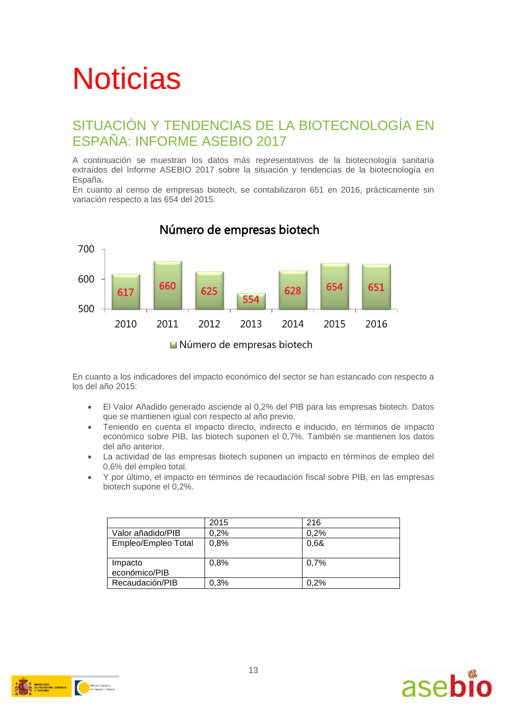# **Noticias**

#### SITUACIÓN Y TENDENCIAS DE LA BIOTECNOLOGÍA EN ESPAÑA: INFORME ASEBIO 2017

A continuación se muestran los datos más representativos de la biotecnología sanitaria extraídos del Informe ASEBIO 2017 sobre la situación y tendencias de la biotecnología en España.

En cuanto al censo de empresas biotech, se contabilizaron 651 en 2016, prácticamente sin variación respecto a las 654 del 2015.



#### Número de empresas biotech

Múmero de empresas biotech

En cuanto a los indicadores del impacto económico del sector se han estancado con respecto a los del año 2015:

- El Valor Añadido generado asciende al 0,2% del PIB para las empresas biotech. Datos que se mantienen igual con respecto al año previo.
- Teniendo en cuenta el impacto directo, indirecto e inducido, en términos de impacto económico sobre PIB, las biotech suponen el 0,7%. También se mantienen los datos del año anterior.
- La actividad de las empresas biotech suponen un impacto en términos de empleo del 0,6% del empleo total.
- Y por último, el impacto en términos de recaudación fiscal sobre PIB, en las empresas biotech supone el 0,2%.

|                          | 2015 | 216  |
|--------------------------|------|------|
| Valor añadido/PIB        | 0,2% | 0.2% |
| Empleo/Empleo Total      | 0,8% | 0,6& |
| Impacto<br>económico/PIB | 0,8% | 0.7% |
| Recaudación/PIB          | 0.3% | 0.2% |

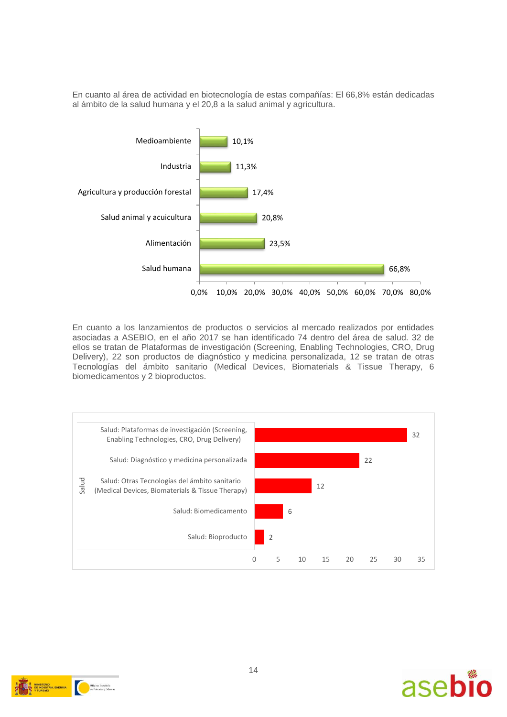En cuanto al área de actividad en biotecnología de estas compañías: El 66,8% están dedicadas al ámbito de la salud humana y el 20,8 a la salud animal y agricultura.



En cuanto a los lanzamientos de productos o servicios al mercado realizados por entidades asociadas a ASEBIO, en el año 2017 se han identificado 74 dentro del área de salud. 32 de ellos se tratan de Plataformas de investigación (Screening, Enabling Technologies, CRO, Drug Delivery), 22 son productos de diagnóstico y medicina personalizada, 12 se tratan de otras Tecnologías del ámbito sanitario (Medical Devices, Biomaterials & Tissue Therapy, 6 biomedicamentos y 2 bioproductos.





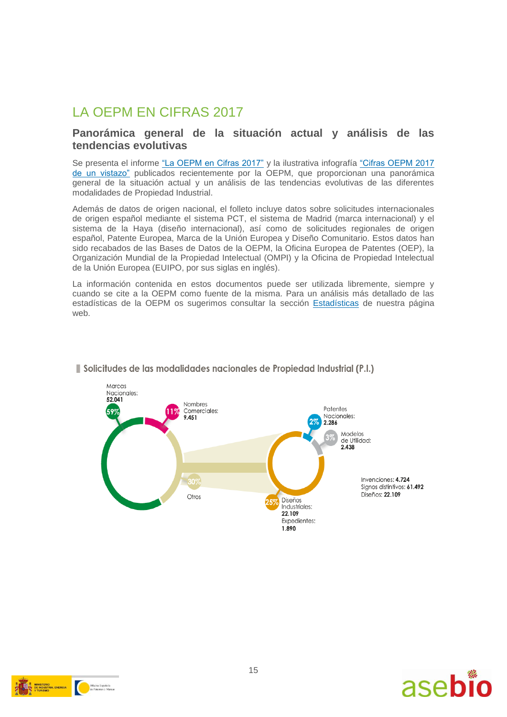### LA OEPM EN CIFRAS 2017

#### **Panorámica general de la situación actual y análisis de las tendencias evolutivas**

Se presenta el informe ["La OEPM en Cifras 2017"](http://www.oepm.es/export/sites/oepm/comun/documentos_relacionados/Publicaciones/Folletos/La_OEPM_en_Cifras_2017.pdf) y la ilustrativa infografía "Cifras OEPM 2017 [de un vistazo"](http://www.oepm.es/export/sites/oepm/comun/documentos_relacionados/Memorias_de_Actividades_y_Estadisticas/estadisticas/Infografias_2017.pdf) publicados recientemente por la OEPM, que proporcionan una panorámica general de la situación actual y un análisis de las tendencias evolutivas de las diferentes modalidades de Propiedad Industrial.

Además de datos de origen nacional, el folleto incluye datos sobre solicitudes internacionales de origen español mediante el sistema PCT, el sistema de Madrid (marca internacional) y el sistema de la Haya (diseño internacional), así como de solicitudes regionales de origen español, Patente Europea, Marca de la Unión Europea y Diseño Comunitario. Estos datos han sido recabados de las Bases de Datos de la OEPM, la Oficina Europea de Patentes (OEP), la Organización Mundial de la Propiedad Intelectual (OMPI) y la Oficina de Propiedad Intelectual de la Unión Europea (EUIPO, por sus siglas en inglés).

La información contenida en estos documentos puede ser utilizada libremente, siempre y cuando se cite a la OEPM como fuente de la misma. Para un análisis más detallado de las estadísticas de la OEPM os sugerimos consultar la sección [Estadísticas](http://www.oepm.es/es/sobre_oepm/actividades_estadisticas) de nuestra página web.



#### Solicitudes de las modalidades nacionales de Propiedad Industrial (P.I.)



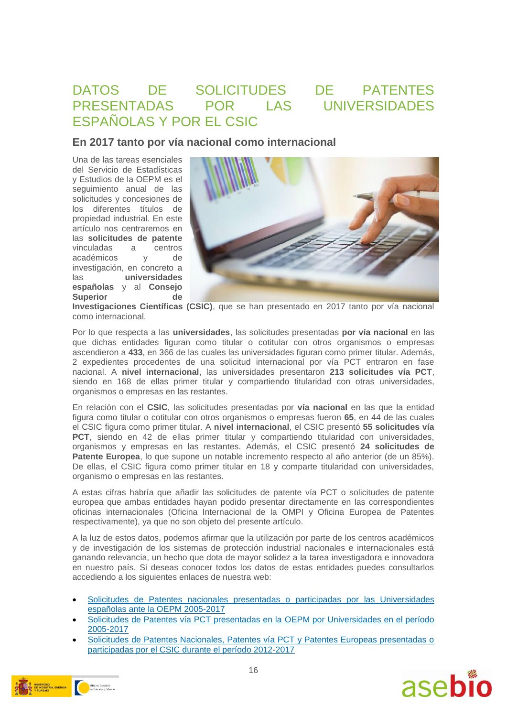#### DATOS DE SOLICITUDES DE PATENTES PRESENTADAS POR LAS UNIVERSIDADES ESPAÑOLAS Y POR EL CSIC

#### **En 2017 tanto por vía nacional como internacional**

Una de las tareas esenciales del Servicio de Estadísticas y Estudios de la OEPM es el seguimiento anual de las solicitudes y concesiones de los diferentes títulos de propiedad industrial. En este artículo nos centraremos en las **solicitudes de patente** vinculadas a centros académicos y de investigación, en concreto a las **universidades españolas** y al **Consejo Superior de** 



**Investigaciones Científicas (CSIC)**, que se han presentado en 2017 tanto por vía nacional como internacional.

Por lo que respecta a las **universidades**, las solicitudes presentadas **por vía nacional** en las que dichas entidades figuran como titular o cotitular con otros organismos o empresas ascendieron a **433**, en 366 de las cuales las universidades figuran como primer titular. Además, 2 expedientes procedentes de una solicitud internacional por vía PCT entraron en fase nacional. A **nivel internacional**, las universidades presentaron **213 solicitudes vía PCT**, siendo en 168 de ellas primer titular y compartiendo titularidad con otras universidades, organismos o empresas en las restantes.

En relación con el **CSIC**, las solicitudes presentadas por **vía nacional** en las que la entidad figura como titular o cotitular con otros organismos o empresas fueron **65**, en 44 de las cuales el CSIC figura como primer titular. A **nivel internacional**, el CSIC presentó **55 solicitudes vía PCT**, siendo en 42 de ellas primer titular y compartiendo titularidad con universidades, organismos y empresas en las restantes. Además, el CSIC presentó **24 solicitudes de Patente Europea**, lo que supone un notable incremento respecto al año anterior (de un 85%). De ellas, el CSIC figura como primer titular en 18 y comparte titularidad con universidades, organismo o empresas en las restantes.

A estas cifras habría que añadir las solicitudes de patente vía PCT o solicitudes de patente europea que ambas entidades hayan podido presentar directamente en las correspondientes oficinas internacionales (Oficina Internacional de la OMPI y Oficina Europea de Patentes respectivamente), ya que no son objeto del presente artículo.

A la luz de estos datos, podemos afirmar que la utilización por parte de los centros académicos y de investigación de los sistemas de protección industrial nacionales e internacionales está ganando relevancia, un hecho que dota de mayor solidez a la tarea investigadora e innovadora en nuestro país. Si deseas conocer todos los datos de estas entidades puedes consultarlos accediendo a los siguientes enlaces de nuestra web:

- [Solicitudes de Patentes nacionales presentadas o participadas por las Universidades](https://www.oepm.es/export/sites/oepm/comun/documentos_relacionados/Memorias_de_Actividades_y_Estadisticas/estudios_estadisticos/Solicitudes_Patentes_Nacionales_Universidades_2005_2017.pdf)  [españolas ante la OEPM 2005-2017](https://www.oepm.es/export/sites/oepm/comun/documentos_relacionados/Memorias_de_Actividades_y_Estadisticas/estudios_estadisticos/Solicitudes_Patentes_Nacionales_Universidades_2005_2017.pdf)
- [Solicitudes de Patentes vía PCT presentadas en la OEPM por Universidades en el período](http://www.oepm.es/export/sites/oepm/comun/documentos_relacionados/Noticias/2018/2018_05_14_Universidades_Solicitudes_PatentesPCT.pdf)  [2005-2017](http://www.oepm.es/export/sites/oepm/comun/documentos_relacionados/Noticias/2018/2018_05_14_Universidades_Solicitudes_PatentesPCT.pdf)
- [Solicitudes de Patentes Nacionales, Patentes vía PCT y Patentes Europeas presentadas o](https://www.oepm.es/export/sites/oepm/comun/documentos_relacionados/Memorias_de_Actividades_y_Estadisticas/estudios_estadisticos/Solicitudes_Patentes_Nacionales_CSIC_2012_2017.pdf)  [participadas por el CSIC durante el período 2012-2017](https://www.oepm.es/export/sites/oepm/comun/documentos_relacionados/Memorias_de_Actividades_y_Estadisticas/estudios_estadisticos/Solicitudes_Patentes_Nacionales_CSIC_2012_2017.pdf)